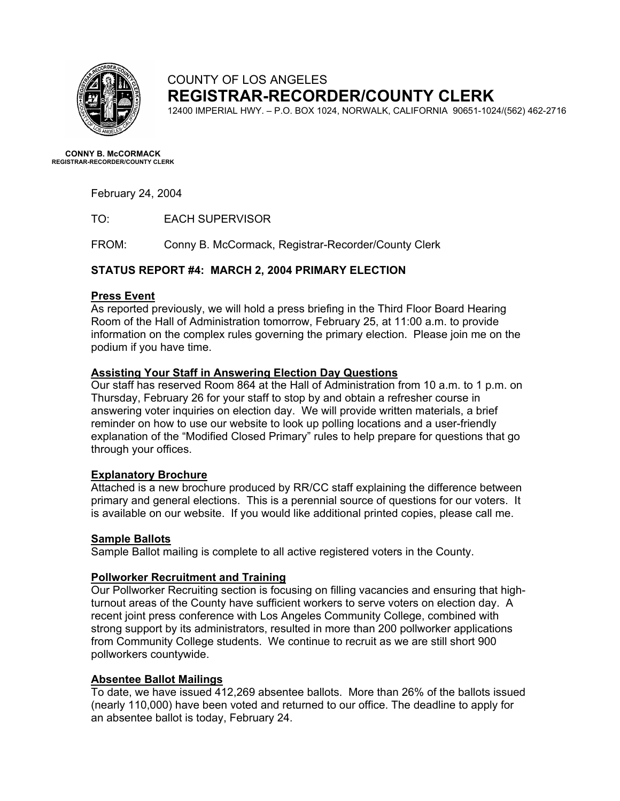

#### COUNTY OF LOS ANGELES **REGISTRAR-RECORDER/COUNTY CLERK**

12400 IMPERIAL HWY. – P.O. BOX 1024, NORWALK, CALIFORNIA 90651-1024/(562) 462-2716

**CONNY B. McCORMACK REGISTRAR-RECORDER/COUNTY CLERK** 

February 24, 2004

TO: EACH SUPERVISOR

FROM: Conny B. McCormack, Registrar-Recorder/County Clerk

#### **STATUS REPORT #4: MARCH 2, 2004 PRIMARY ELECTION**

#### **Press Event**

As reported previously, we will hold a press briefing in the Third Floor Board Hearing Room of the Hall of Administration tomorrow, February 25, at 11:00 a.m. to provide information on the complex rules governing the primary election. Please join me on the podium if you have time.

#### **Assisting Your Staff in Answering Election Day Questions**

Our staff has reserved Room 864 at the Hall of Administration from 10 a.m. to 1 p.m. on Thursday, February 26 for your staff to stop by and obtain a refresher course in answering voter inquiries on election day. We will provide written materials, a brief reminder on how to use our website to look up polling locations and a user-friendly explanation of the "Modified Closed Primary" rules to help prepare for questions that go through your offices.

#### **Explanatory Brochure**

Attached is a new brochure produced by RR/CC staff explaining the difference between primary and general elections. This is a perennial source of questions for our voters. It is available on our website. If you would like additional printed copies, please call me.

#### **Sample Ballots**

Sample Ballot mailing is complete to all active registered voters in the County.

#### **Pollworker Recruitment and Training**

Our Pollworker Recruiting section is focusing on filling vacancies and ensuring that highturnout areas of the County have sufficient workers to serve voters on election day. A recent joint press conference with Los Angeles Community College, combined with strong support by its administrators, resulted in more than 200 pollworker applications from Community College students. We continue to recruit as we are still short 900 pollworkers countywide.

#### **Absentee Ballot Mailings**

To date, we have issued 412,269 absentee ballots. More than 26% of the ballots issued (nearly 110,000) have been voted and returned to our office. The deadline to apply for an absentee ballot is today, February 24.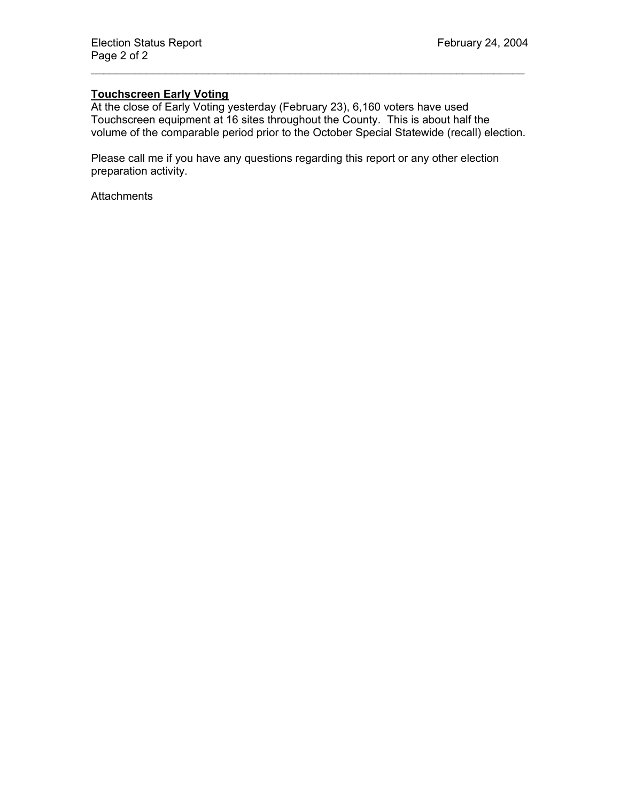#### **Touchscreen Early Voting**

At the close of Early Voting yesterday (February 23), 6,160 voters have used Touchscreen equipment at 16 sites throughout the County. This is about half the volume of the comparable period prior to the October Special Statewide (recall) election.

\_\_\_\_\_\_\_\_\_\_\_\_\_\_\_\_\_\_\_\_\_\_\_\_\_\_\_\_\_\_\_\_\_\_\_\_\_\_\_\_\_\_\_\_\_\_\_\_\_\_\_\_\_\_\_\_\_\_\_\_\_\_\_\_\_\_\_\_\_\_

Please call me if you have any questions regarding this report or any other election preparation activity.

**Attachments**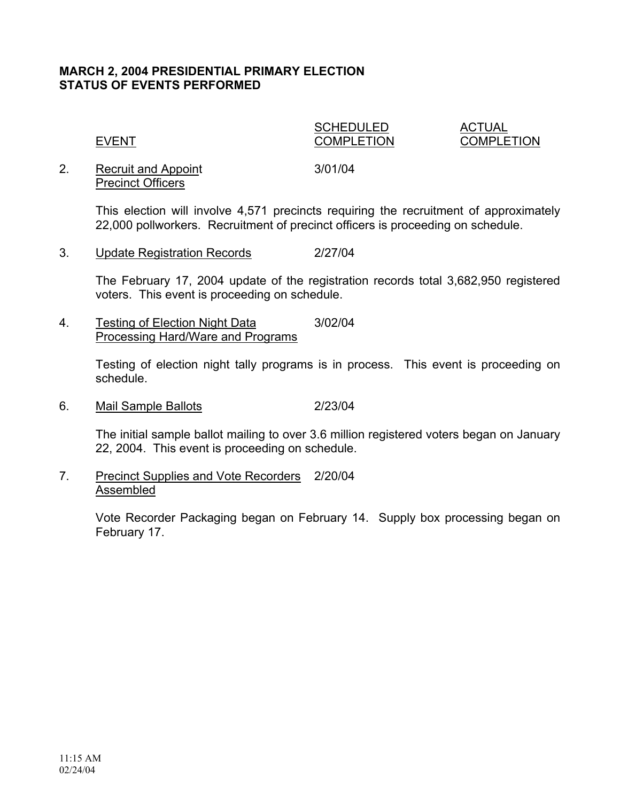#### **MARCH 2, 2004 PRESIDENTIAL PRIMARY ELECTION STATUS OF EVENTS PERFORMED**

SCHEDULED ACTUAL

EVENT COMPLETION COMPLETION

2. Recruit and Appoint 3/01/04 Precinct Officers

This election will involve 4,571 precincts requiring the recruitment of approximately 22,000 pollworkers. Recruitment of precinct officers is proceeding on schedule.

3. Update Registration Records 2/27/04

The February 17, 2004 update of the registration records total 3,682,950 registered voters. This event is proceeding on schedule.

4. Testing of Election Night Data 3/02/04 Processing Hard/Ware and Programs

> Testing of election night tally programs is in process. This event is proceeding on schedule.

6. Mail Sample Ballots 2/23/04

The initial sample ballot mailing to over 3.6 million registered voters began on January 22, 2004. This event is proceeding on schedule.

7. Precinct Supplies and Vote Recorders 2/20/04 Assembled

> Vote Recorder Packaging began on February 14. Supply box processing began on February 17.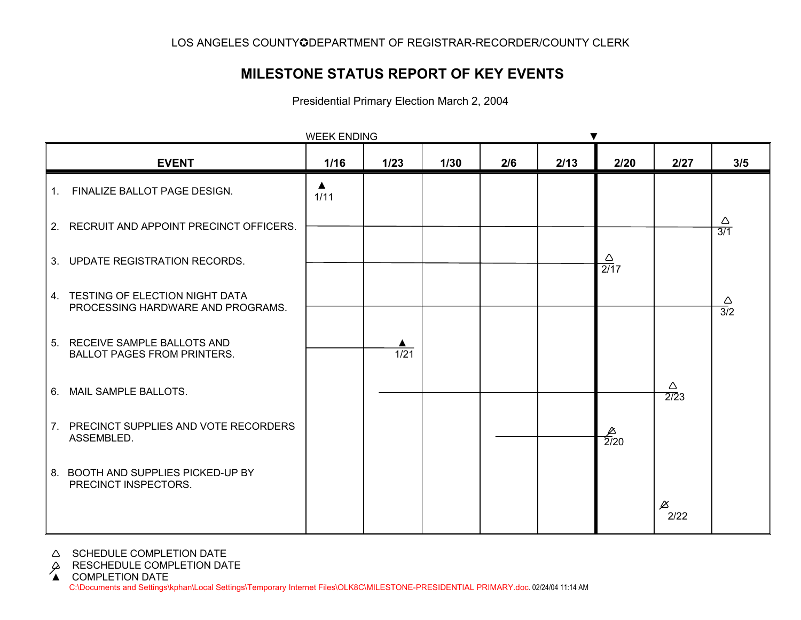#### **MILESTONE STATUS REPORT OF KEY EVENTS**

Presidential Primary Election March 2, 2004

| <b>WEEK ENDING</b>                                                     |                          |      |      |     |      |                       |                                 |                         |
|------------------------------------------------------------------------|--------------------------|------|------|-----|------|-----------------------|---------------------------------|-------------------------|
| <b>EVENT</b>                                                           | 1/16                     | 1/23 | 1/30 | 2/6 | 2/13 | 2/20                  | 2/27                            | 3/5                     |
| 1. FINALIZE BALLOT PAGE DESIGN.                                        | $\blacktriangle$<br>1/11 |      |      |     |      |                       |                                 |                         |
| 2. RECRUIT AND APPOINT PRECINCT OFFICERS.                              |                          |      |      |     |      |                       |                                 | Δ<br>$\overline{3/1}$   |
| 3. UPDATE REGISTRATION RECORDS.                                        |                          |      |      |     |      | $\frac{\Delta}{2/17}$ |                                 |                         |
| 4. TESTING OF ELECTION NIGHT DATA<br>PROCESSING HARDWARE AND PROGRAMS. |                          |      |      |     |      |                       |                                 | $\frac{\triangle}{3/2}$ |
| 5. RECEIVE SAMPLE BALLOTS AND<br><b>BALLOT PAGES FROM PRINTERS.</b>    |                          | 1/21 |      |     |      |                       |                                 |                         |
| 6. MAIL SAMPLE BALLOTS.                                                |                          |      |      |     |      |                       | Δ<br>$\sqrt{2}/23$              |                         |
| 7. PRECINCT SUPPLIES AND VOTE RECORDERS<br>ASSEMBLED.                  |                          |      |      |     |      | $\frac{4}{2/20}$      |                                 |                         |
| 8. BOOTH AND SUPPLIES PICKED-UP BY<br>PRECINCT INSPECTORS.             |                          |      |      |     |      |                       |                                 |                         |
|                                                                        |                          |      |      |     |      |                       | $\cancel{\vartriangle}$<br>2/22 |                         |

- A SCHEDULE COMPLETION DATE
- 

C:\Documents and Settings\kphan\Local Settings\Temporary Internet Files\OLK8C\MILESTONE-PRESIDENTIAL PRIMARY.doc. 02/24/04 11:14 AM β RESCHEDULE COMPLETION DATE<br>▲ COMPLETION DATE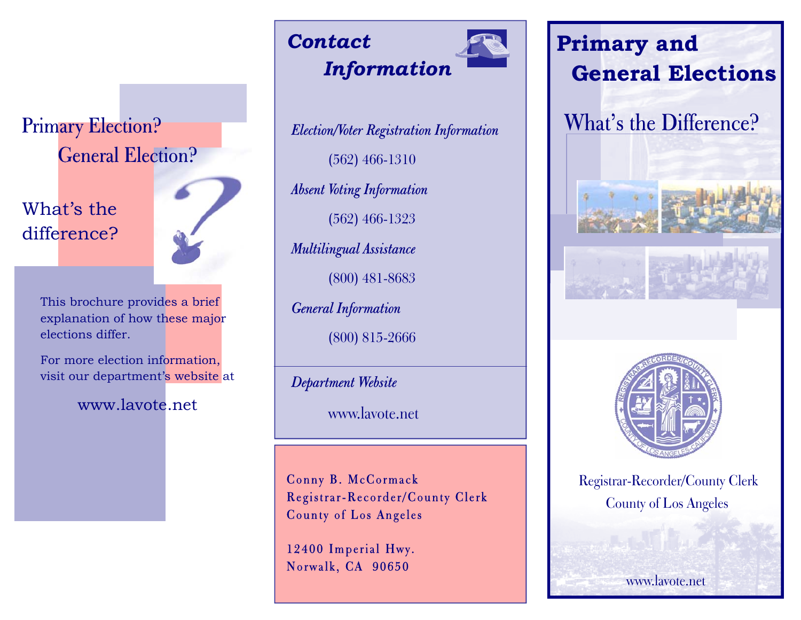## Primary Election? General Election?

### What's the difference?



This brochure provides a brief explanation of how these major elections differ.

For more election information, visit our department's website at

www.lavote.net

## *Contact Information*

*Election/Voter Registration Information*  (562) 466-1310 *Absent Voting Information*  (562) 466-1323 *Multilingual Assistance* 

(800) 481-8683

*General Information* 

(800) 815-2666

*Department Website* 

www.lavote.net

Conny B. McCormack Registrar-Recorder/County Clerk County of Los Angeles

12400 Imperial Hwy. Norwalk, CA 90650



What's the Difference?





Registrar-Recorder/County Clerk County of Los Angeles

www.lavote.net